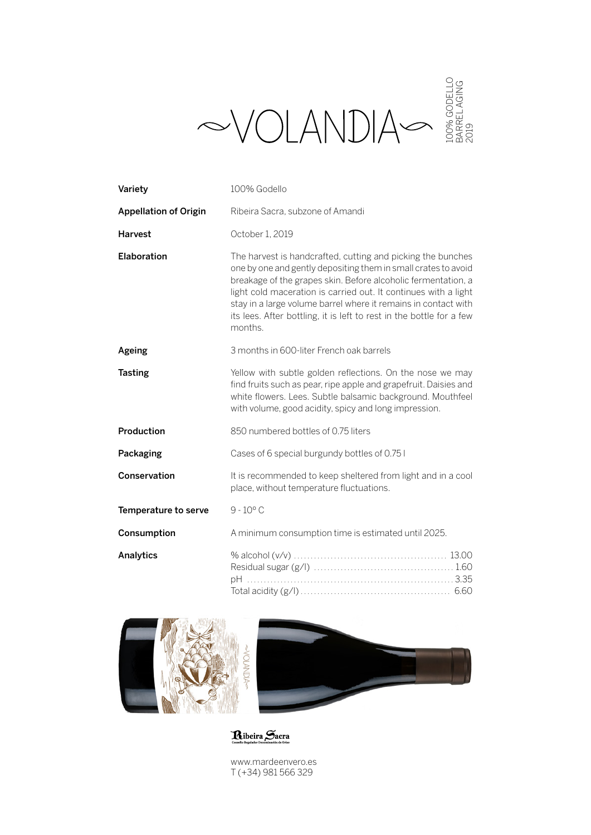|                              | $\bigotimes \bigvee \bigcup \bigwedge \bigvee \bigcup \bigwedge \bigvee \bigvee \bigotimes_{\overset{\mathsf{S}}{\mathsf{S}} \in \mathsf{S} \atop \mathsf{S} \atop \mathsf{S} \atop \mathsf{S} \atop \mathsf{S} \atop \mathsf{S} \atop \mathsf{S} \atop \mathsf{S} \atop \mathsf{S} \atop \mathsf{S} \atop \mathsf{S} \atop \mathsf{S} \atop \mathsf{S} \atop \mathsf{S} \atop \mathsf{S} \atop \mathsf{S} \atop \mathsf{S} \atop \mathsf{S} \atop \math$ |
|------------------------------|-----------------------------------------------------------------------------------------------------------------------------------------------------------------------------------------------------------------------------------------------------------------------------------------------------------------------------------------------------------------------------------------------------------------------------------------------------------|
| Variety                      | 100% Godello                                                                                                                                                                                                                                                                                                                                                                                                                                              |
| <b>Appellation of Origin</b> | Ribeira Sacra, subzone of Amandi                                                                                                                                                                                                                                                                                                                                                                                                                          |
| <b>Harvest</b>               | October 1, 2019                                                                                                                                                                                                                                                                                                                                                                                                                                           |
| Elaboration                  | The harvest is handcrafted, cutting and picking the bunches<br>one by one and gently depositing them in small crates to avoid<br>breakage of the grapes skin. Before alcoholic fermentation, a<br>light cold maceration is carried out. It continues with a light<br>stay in a large volume barrel where it remains in contact with<br>its lees. After bottling, it is left to rest in the bottle for a few<br>months.                                    |
| Ageing                       | 3 months in 600-liter French oak barrels                                                                                                                                                                                                                                                                                                                                                                                                                  |
| <b>Tasting</b>               | Yellow with subtle golden reflections. On the nose we may<br>find fruits such as pear, ripe apple and grapefruit. Daisies and<br>white flowers. Lees. Subtle balsamic background. Mouthfeel<br>with volume, good acidity, spicy and long impression.                                                                                                                                                                                                      |
| Production                   | 850 numbered bottles of 0.75 liters                                                                                                                                                                                                                                                                                                                                                                                                                       |
| Packaging                    | Cases of 6 special burgundy bottles of 0.75 I                                                                                                                                                                                                                                                                                                                                                                                                             |
| Conservation                 | It is recommended to keep sheltered from light and in a cool<br>place, without temperature fluctuations.                                                                                                                                                                                                                                                                                                                                                  |
| Temperature to serve         | $9 - 10^{\circ}$ C                                                                                                                                                                                                                                                                                                                                                                                                                                        |
| Consumption                  | A minimum consumption time is estimated until 2025.                                                                                                                                                                                                                                                                                                                                                                                                       |
| Analytics                    |                                                                                                                                                                                                                                                                                                                                                                                                                                                           |



Ribeira Sacra

www.mardeenvero.es T (+34) 981 566 329